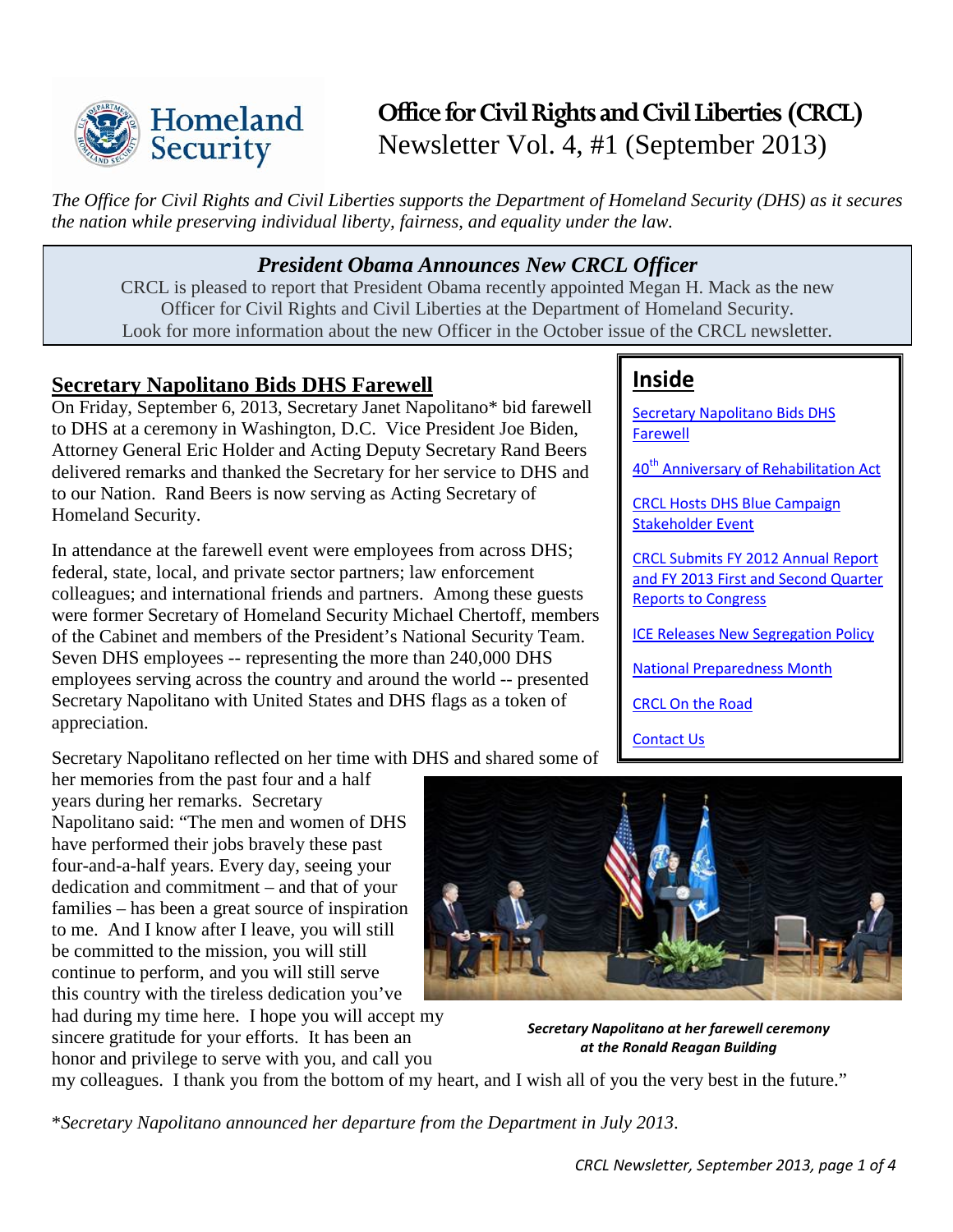

# **Office for Civil Rights and Civil Liberties (CRCL)** Newsletter Vol. 4, #1 (September 2013)

*The Office for Civil Rights and Civil [L](http://www.dhs.gov/)iberties supports the Department of Homeland Security (DHS) as it secures the nation while preserving individual liberty, fairness, and equality under the law.* 

# *President Obama Announces New CRCL Officer*

CRCL is pleased to report that President Obama recently appointed Megan H. Mack as the new Officer for Civil Rights and Civil Liberties at the Department of Homeland Security. Look for more information about the new Officer in the October issue of the CRCL newsletter.

# <span id="page-0-0"></span>**Secretary Napolitano Bids DHS Farewell**

On Friday, September 6, 2013, Secretary Janet Napolitano\* bid farewell to DHS at a ceremony in Washington, D.C. Vice President Joe Biden, Attorney General Eric Holder and Acting Deputy Secretary Rand Beers delivered remarks and thanked the Secretary for her service to DHS and to our Nation. Rand Beers is now serving as Acting Secretary of Homeland Security.

In attendance at the farewell event were employees from across DHS; federal, state, local, and private sector partners; law enforcement colleagues; and international friends and partners. Among these guests were former Secretary of Homeland Security Michael Chertoff, members of the Cabinet and members of the President's National Security Team. Seven DHS employees -- representing the more than 240,000 DHS employees serving across the country and around the world -- presented Secretary Napolitano with United States and DHS flags as a token of appreciation.

# **Inside**

[Secretary Napolitano Bids DHS](#page-0-0)  [Farewell](#page-0-0) 

40<sup>th</sup> [Anniversary of Rehabilitation Act](#page-1-0)

[CRCL Hosts DHS Blue Campaign](#page-1-1)  [Stakeholder Event](#page-1-1)

[CRCL Submits FY 2012 Annual Report](#page-2-0)  [and FY 2013 First and Second Quarter](#page-2-0)  Reports [to Congress](#page-2-0)

[ICE Releases New Segregation Policy](#page-2-1)

[National Preparedness Month](#page-3-0)

[CRCL On the Road](#page-3-1)

[Contact Us](#page-3-2)

Secretary Napolitano reflected on her time with DHS and shared some of

her memories from the past four and a half years during her remarks. Secretary Napolitano said: "The men and women of DHS have performed their jobs bravely these past four-and-a-half years. Every day, seeing your dedication and commitment – and that of your families – has been a great source of inspiration to me. And I know after I leave, you will still be committed to the mission, you will still continue to perform, and you will still serve this country with the tireless dedication you've had during my time here. I hope you will accept my sincere gratitude for your efforts. It has been an honor and privilege to serve with you, and call you



*Secretary Napolitano at her farewell ceremony at the Ronald Reagan Building*

my colleagues. I thank you from the bottom of my heart, and I wish all of you the very best in the future."

\**Secretary Napolitano announced her departure from the Department in July 2013*.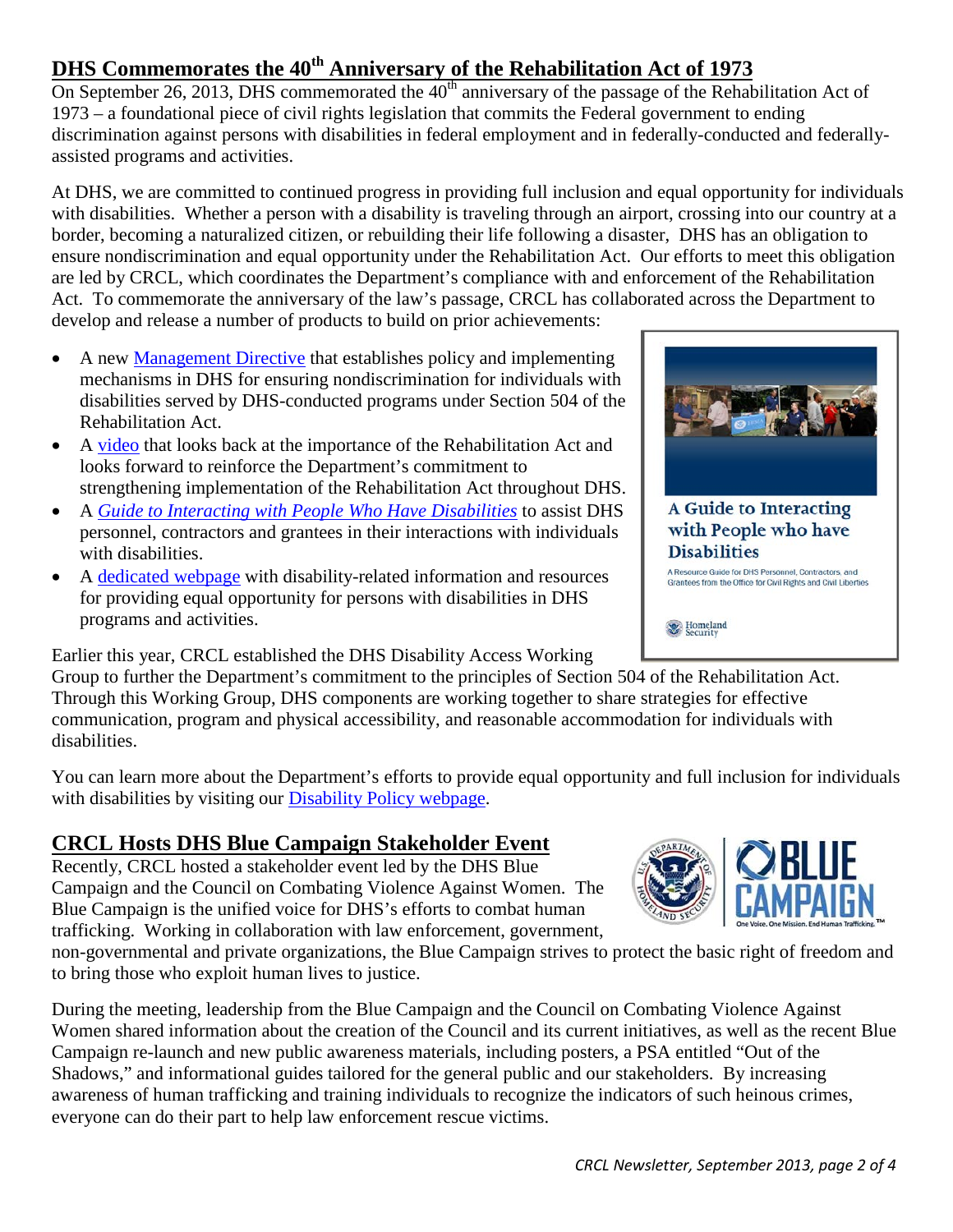# <span id="page-1-0"></span>**DHS Commemorates the 40th Anniversary of the Rehabilitation Act of 1973**

On September 26, 2013, DHS commemorated the  $40<sup>th</sup>$  anniversary of the passage of the Rehabilitation Act of 1973 – a foundational piece of civil rights legislation that commits the Federal government to ending discrimination against persons with disabilities in federal employment and in federally-conducted and federallyassisted programs and activities.

At DHS, we are committed to continued progress in providing full inclusion and equal opportunity for individuals with disabilities. Whether a person with a disability is traveling through an airport, crossing into our country at a border, becoming a naturalized citizen, or rebuilding their life following a disaster, DHS has an obligation to ensure nondiscrimination and equal opportunity under the Rehabilitation Act. Our efforts to meet this obligation are led by CRCL, which coordinates the Department's compliance with and enforcement of the Rehabilitation Act. To commemorate the anniversary of the law's passage, CRCL has collaborated across the Department to develop and release a number of products to build on prior achievements:

- A new [Management Directive](http://dhs.gov/sites/default/files/publications/dhs-management-directive-disability-access_0.pdf) that establishes policy and implementing mechanisms in DHS for ensuring nondiscrimination for individuals with disabilities served by DHS-conducted programs under Section 504 of the Rehabilitation Act.
- A [video](http://dhs.gov/video/video-commemorating-40th-anniversary-section-504-rehabilitation-act-1973) that looks back at the importance of the Rehabilitation Act and looks forward to reinforce the Department's commitment to strengthening implementation of the Rehabilitation Act throughout DHS.
- A *[Guide to Interacting with People Who Have Disabilities](http://www.dhs.gov/sites/default/files/publications/guide-interacting-with-people-who-have-disabilties_09-26-13.pdf)* to assist DHS personnel, contractors and grantees in their interactions with individuals with disabilities.
- A [dedicated webpage](http://dhs.gov/disability-access-department-homeland-security) with disability-related information and resources for providing equal opportunity for persons with disabilities in DHS programs and activities.

Earlier this year, CRCL established the DHS Disability Access Working

Group to further the Department's commitment to the principles of Section 504 of the Rehabilitation Act. Through this Working Group, DHS components are working together to share strategies for effective communication, program and physical accessibility, and reasonable accommodation for individuals with disabilities.

You can learn more about the Department's efforts to provide equal opportunity and full inclusion for individuals with disabilities by visiting our [Disability Policy webpage.](http://dhs.gov/disability-access-department-homeland-security)

# <span id="page-1-1"></span>**CRCL Hosts DHS Blue Campaign Stakeholder Event**

Recently, CRCL hosted a stakeholder event led by the DHS Blue Campaign and the Council on Combating Violence Against Women. The Blue Campaign is the unified voice for DHS's efforts to combat human trafficking. Working in collaboration with law enforcement, government,

non-governmental and private organizations, the Blue Campaign strives to protect the basic right of freedom and to bring those who exploit human lives to justice.

During the meeting, leadership from the Blue Campaign and the Council on Combating Violence Against Women shared information about the creation of the Council and its current initiatives, as well as the recent Blue Campaign re-launch and new public awareness materials, including posters, a PSA entitled "Out of the Shadows," and informational guides tailored for the general public and our stakeholders. By increasing awareness of human trafficking and training individuals to recognize the indicators of such heinous crimes, everyone can do their part to help law enforcement rescue victims.



A Resource Guide for DHS Personnel, Contractors, and Grantees from the Office for Civil Rights and Civil Liberties

Homeland<br>Security

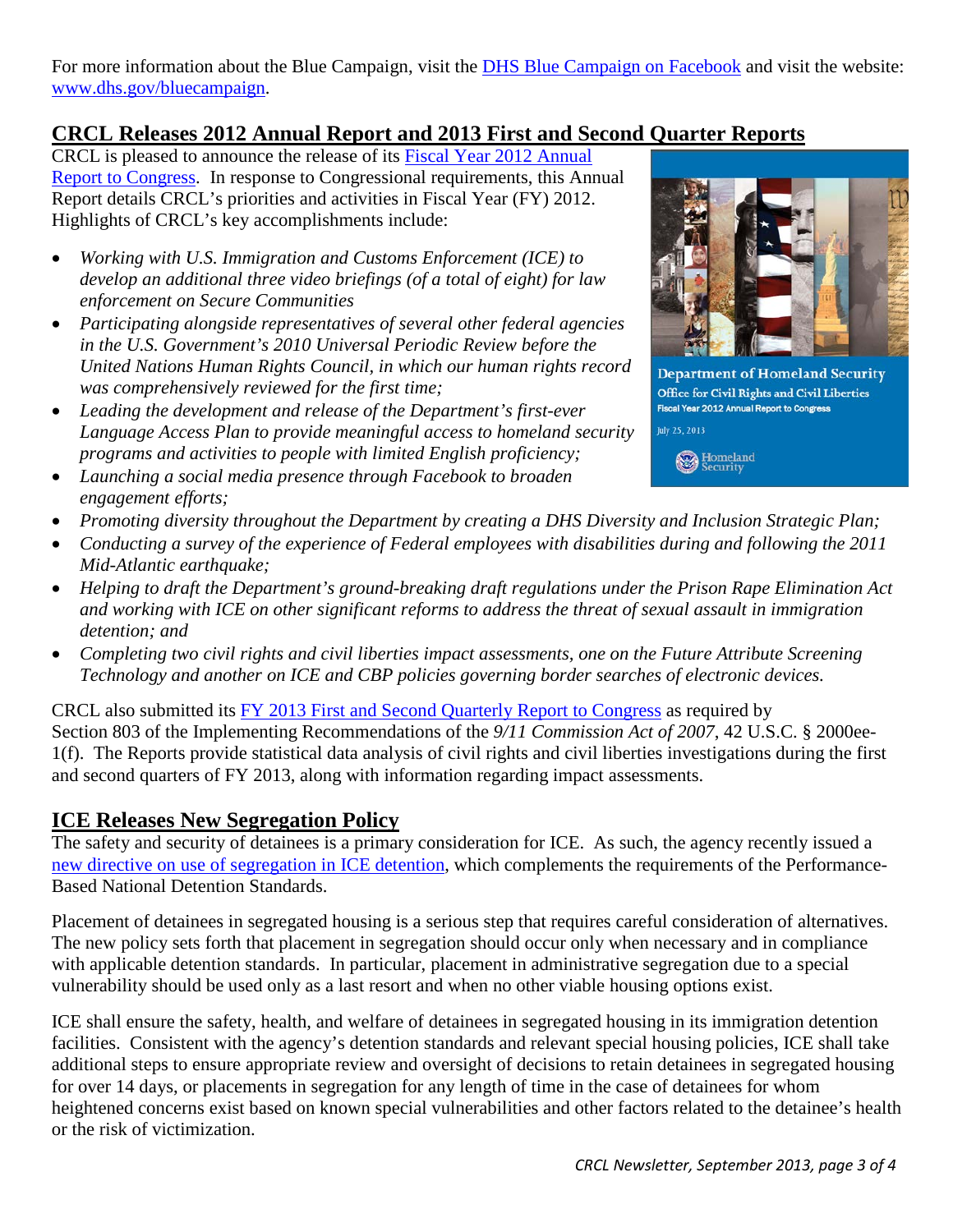[For more information about the Blue Campaign, visit the](http://www.dhs.gov/sites/default/files/publications/crcl-annual-report-fy-2012_4.pdf) [DHS Blue Campaign on Facebook](https://www.facebook.com/%23!/bluecampaign) and visit the website: [www.dhs.gov/bluecampaign.](http://www.dhs.gov/bluecampaign)

# <span id="page-2-0"></span>**CRCL Releases 2012 Annual Report and 2013 First and Second Quarter Reports**

CRCL is pleased to announce the release of its [Fiscal Year 2012 Annual](http://www.dhs.gov/sites/default/files/publications/crcl-annual-report-fy-2012_4.pdf)  [Report to Congress.](http://www.dhs.gov/sites/default/files/publications/crcl-annual-report-fy-2012_4.pdf) In response to Congressional requirements, this Annual Report details CRCL's priorities and activities in Fiscal Year (FY) 2012. Highlights of CRCL's key accomplishments include:

- *Working with U.S. Immigration and Customs Enforcement (ICE) to develop an additional three video briefings (of a total of eight) for law enforcement on Secure Communities*
- *Participating alongside representatives of several other federal agencies in the U.S. Government's 2010 Universal Periodic Review before the United Nations Human Rights Council, in which our human rights record was comprehensively reviewed for the first time;*
- *Leading the development and release of the Department's first-ever Language Access Plan to provide meaningful access to homeland security programs and activities to people with limited English proficiency;*
- *Launching a social media presence through Facebook to broaden engagement efforts;*



**Department of Homeland Security** Office for Civil Rights and Civil Liberties Fiscal Year 2012 Annual Report to Congress Tuly 25, 2013

Homeland<br>Security

- *Promoting diversity throughout the Department by creating a DHS Diversity and Inclusion Strategic Plan;*
- *Conducting a survey of the experience of Federal employees with disabilities during and following the 2011 Mid-Atlantic earthquake;*
- *Helping to draft the Department's ground-breaking draft regulations under the Prison Rape Elimination Act and working with ICE on other significant reforms to address the threat of sexual assault in immigration detention; and*
- *Completing two civil rights and civil liberties impact assessments, one on the Future Attribute Screening Technology and another on ICE and CBP policies governing border searches of electronic devices.*

CRCL also submitted its [FY 2013 First and Second Quarterly Report to Congress](http://www.dhs.gov/sites/default/files/publications/crcl-quarterly-report-fy-2013-q1-q2.pdf) as required by Section 803 of the Implementing Recommendations of the *9/11 Commission Act of 2007*, 42 U.S.C. § 2000ee-1(f). The Reports provide statistical data analysis of civil rights and civil liberties investigations during the first and second quarters of FY 2013, along with information regarding impact assessments.

# <span id="page-2-1"></span>**ICE Releases New Segregation Policy**

The safety and security of detainees is a primary consideration for ICE. As such, the agency recently issued a [new directive on use of segregation in ICE detention,](http://www.ice.gov/doclib/detention-reform/pdf/segregation_directive.pdf) which complements the requirements of the Performance-Based National Detention Standards.

Placement of detainees in segregated housing is a serious step that requires careful consideration of alternatives. The new policy sets forth that placement in segregation should occur only when necessary and in compliance with applicable detention standards. In particular, placement in administrative segregation due to a special vulnerability should be used only as a last resort and when no other viable housing options exist.

ICE shall ensure the safety, health, and welfare of detainees in segregated housing in its immigration detention facilities. Consistent with the agency's detention standards and relevant special housing policies, ICE shall take additional steps to ensure appropriate review and oversight of decisions to retain detainees in segregated housing for over 14 days, or placements in segregation for any length of time in the case of detainees for whom heightened concerns exist based on known special vulnerabilities and other factors related to the detainee's health or the risk of victimization.